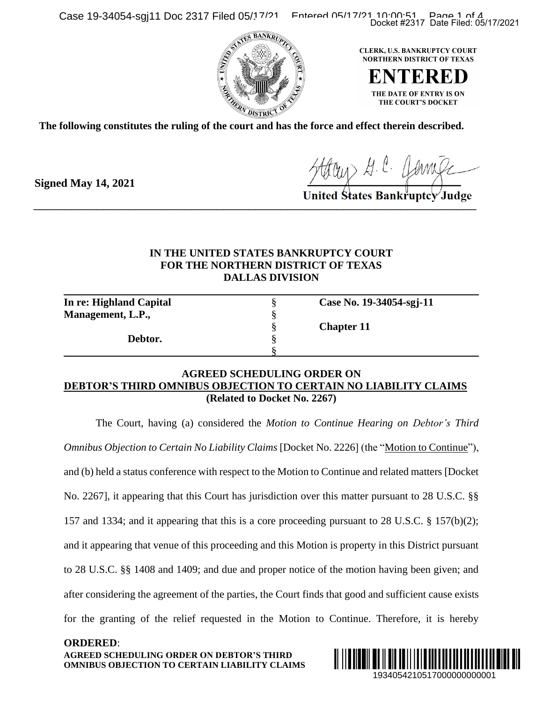Case 19-34054-sgj11 Doc 2317 Filed 05/17/21 Entered 05/17/21 10:00:51 Page 1 of 4





**The following constitutes the ruling of the court and has the force and effect therein described.**

Houry A. C. Jamile

**Signed May 14, 2021**

## **IN THE UNITED STATES BANKRUPTCY COURT FOR THE NORTHERN DISTRICT OF TEXAS DALLAS DIVISION**

| In re: Highland Capital |                   | Case No. 19-34054-sgj-11 |
|-------------------------|-------------------|--------------------------|
| Management, L.P.,       |                   |                          |
|                         | <b>Chapter 11</b> |                          |
| Debtor.                 |                   |                          |
|                         |                   |                          |

## **AGREED SCHEDULING ORDER ON DEBTOR'S THIRD OMNIBUS OBJECTION TO CERTAIN NO LIABILITY CLAIMS (Related to Docket No. 2267)**

The Court, having (a) considered the *Motion to Continue Hearing on Debtor's Third Omnibus Objection to Certain No Liability Claims* [Docket No. 2226] (the "Motion to Continue"), and (b) held a status conference with respect to the Motion to Continue and related matters [Docket No. 2267], it appearing that this Court has jurisdiction over this matter pursuant to 28 U.S.C. §§ 157 and 1334; and it appearing that this is a core proceeding pursuant to 28 U.S.C. § 157(b)(2); and it appearing that venue of this proceeding and this Motion is property in this District pursuant to 28 U.S.C. §§ 1408 and 1409; and due and proper notice of the motion having been given; and after considering the agreement of the parties, the Court finds that good and sufficient cause exists for the granting of the relief requested in the Motion to Continue. Therefore, it is hereby Docket #2317 Date Filed: 05/17/2021<br>
ERK, U.S. BANKRUPTCY COURT<br>
ERTER DISTRICT OF TEXAS<br>
THE DATE OF ENTRY IS ON<br>
THE COURTS DOCKET<br>
CULTE DATE OF ENTRY IS ON<br>
CHE COURTS DOCKET<br>
CULTE<br>
BANKTUPICY Judge<br>
BANKTUPICY Judge

**AGREED SCHEDULING ORDER ON DEBTOR'S THIRD OMNIBUS OBJECTION TO CERTAIN LIABILITY CLAIMS ORDERED**:

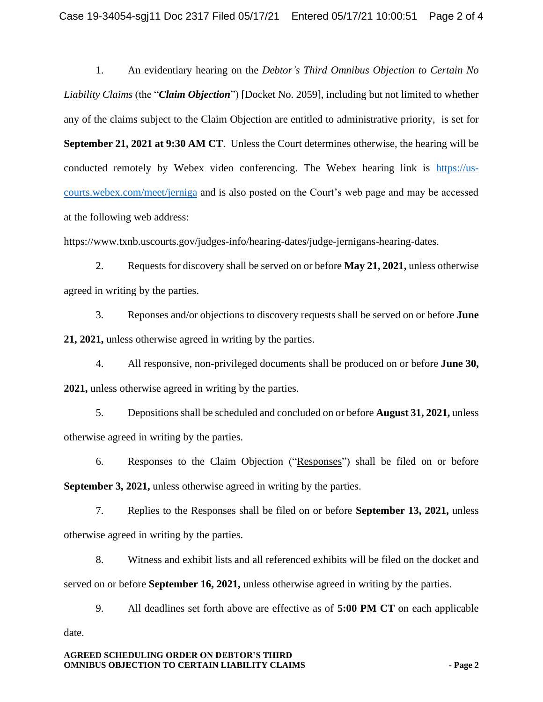1. An evidentiary hearing on the *Debtor's Third Omnibus Objection to Certain No Liability Claims* (the "*Claim Objection*") [Docket No. 2059], including but not limited to whether any of the claims subject to the Claim Objection are entitled to administrative priority, is set for **September 21, 2021 at 9:30 AM CT**. Unless the Court determines otherwise, the hearing will be conducted remotely by Webex video conferencing. The Webex hearing link is [https://us](https://us-courts.webex.com/meet/jerniga)[courts.webex.com/meet/jerniga](https://us-courts.webex.com/meet/jerniga) and is also posted on the Court's web page and may be accessed at the following web address:

https://www.txnb.uscourts.gov/judges-info/hearing-dates/judge-jernigans-hearing-dates.

2. Requests for discovery shall be served on or before **May 21, 2021,** unless otherwise agreed in writing by the parties.

3. Reponses and/or objections to discovery requests shall be served on or before **June 21, 2021,** unless otherwise agreed in writing by the parties.

4. All responsive, non-privileged documents shall be produced on or before **June 30, 2021,** unless otherwise agreed in writing by the parties.

5. Depositions shall be scheduled and concluded on or before **August 31, 2021,** unless otherwise agreed in writing by the parties.

6. Responses to the Claim Objection ("Responses") shall be filed on or before **September 3, 2021,** unless otherwise agreed in writing by the parties.

7. Replies to the Responses shall be filed on or before **September 13, 2021,** unless otherwise agreed in writing by the parties.

8. Witness and exhibit lists and all referenced exhibits will be filed on the docket and served on or before **September 16, 2021,** unless otherwise agreed in writing by the parties.

9. All deadlines set forth above are effective as of **5:00 PM CT** on each applicable date.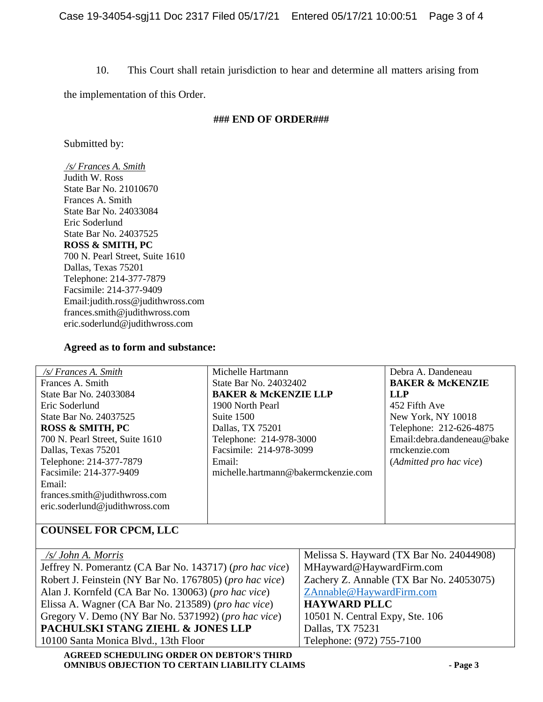10. This Court shall retain jurisdiction to hear and determine all matters arising from

the implementation of this Order.

## **### END OF ORDER###**

Submitted by:

*/s/ Frances A. Smith* Judith W. Ross State Bar No. 21010670 Frances A. Smith State Bar No. 24033084 Eric Soderlund State Bar No. 24037525 **ROSS & SMITH, PC** 700 N. Pearl Street, Suite 1610 Dallas, Texas 75201 Telephone: 214-377-7879 Facsimile: 214-377-9409 Email:judith.ross@judithwross.com frances.smith@judithwross.com eric.soderlund@judithwross.com

## **Agreed as to form and substance:**

| /s/ Frances A. Smith                                         | Michelle Hartmann                   |                                          | Debra A. Dandeneau                       |
|--------------------------------------------------------------|-------------------------------------|------------------------------------------|------------------------------------------|
| Frances A. Smith                                             | State Bar No. 24032402              |                                          | <b>BAKER &amp; McKENZIE</b>              |
| State Bar No. 24033084                                       | <b>BAKER &amp; MCKENZIE LLP</b>     |                                          | <b>LLP</b>                               |
| Eric Soderlund                                               | 1900 North Pearl                    |                                          | 452 Fifth Ave                            |
| State Bar No. 24037525                                       | Suite 1500                          |                                          | New York, NY 10018                       |
| <b>ROSS &amp; SMITH, PC</b>                                  | Dallas, TX 75201                    |                                          | Telephone: 212-626-4875                  |
| 700 N. Pearl Street, Suite 1610                              | Telephone: 214-978-3000             |                                          | Email: debra.dandeneau@bake              |
| Dallas, Texas 75201                                          | Facsimile: 214-978-3099             |                                          | rmckenzie.com                            |
| Telephone: 214-377-7879                                      | Email:                              |                                          | (Admitted pro hac vice)                  |
| Facsimile: 214-377-9409                                      | michelle.hartmann@bakermckenzie.com |                                          |                                          |
| Email:                                                       |                                     |                                          |                                          |
| frances.smith@judithwross.com                                |                                     |                                          |                                          |
| eric.soderlund@judithwross.com                               |                                     |                                          |                                          |
|                                                              |                                     |                                          |                                          |
| <b>COUNSEL FOR CPCM, LLC</b>                                 |                                     |                                          |                                          |
|                                                              |                                     |                                          |                                          |
| /s/ John A. Morris                                           |                                     |                                          | Melissa S. Hayward (TX Bar No. 24044908) |
| Jeffrey N. Pomerantz (CA Bar No. 143717) (pro hac vice)      |                                     | MHayward@HaywardFirm.com                 |                                          |
| Robert J. Feinstein (NY Bar No. 1767805) (pro hac vice)      |                                     | Zachery Z. Annable (TX Bar No. 24053075) |                                          |
| Alan J. Kornfeld (CA Bar No. 130063) (pro hac vice)          |                                     | ZAnnable@HaywardFirm.com                 |                                          |
| Elissa A. Wagner (CA Bar No. 213589) ( <i>pro hac vice</i> ) |                                     | <b>HAYWARD PLLC</b>                      |                                          |
|                                                              |                                     |                                          |                                          |

Gregory V. Demo (NY Bar No. 5371992) (*pro hac vice*) **PACHULSKI STANG ZIEHL & JONES LLP** 10501 N. Central Expy, Ste. 106 Dallas, TX 75231 Telephone: (972) 755-7100

10100 Santa Monica Blvd., 13th Floor